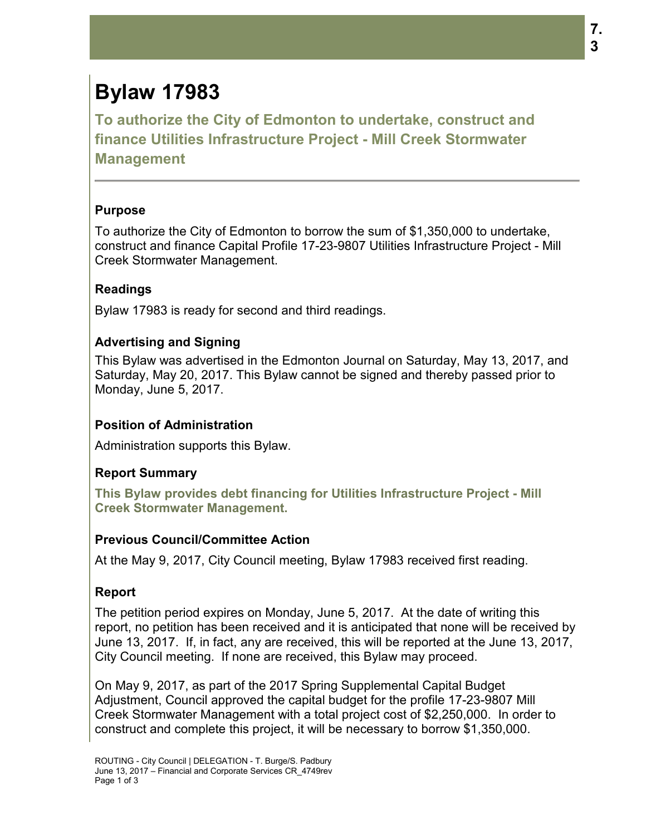# **Bylaw 17983**

**To authorize the City of Edmonton to undertake, construct and finance Utilities Infrastructure Project - Mill Creek Stormwater Management**

#### **Purpose**

To authorize the City of Edmonton to borrow the sum of \$1,350,000 to undertake, construct and finance Capital Profile 17-23-9807 Utilities Infrastructure Project - Mill Creek Stormwater Management.

# **Readings**

Bylaw 17983 is ready for second and third readings.

# **Advertising and Signing**

This Bylaw was advertised in the Edmonton Journal on Saturday, May 13, 2017, and Saturday, May 20, 2017. This Bylaw cannot be signed and thereby passed prior to Monday, June 5, 2017.

#### **Position of Administration**

Administration supports this Bylaw.

# **Report Summary**

**This Bylaw provides debt financing for Utilities Infrastructure Project - Mill Creek Stormwater Management.**

#### **Previous Council/Committee Action**

At the May 9, 2017, City Council meeting, Bylaw 17983 received first reading.

# **Report**

The petition period expires on Monday, June 5, 2017. At the date of writing this report, no petition has been received and it is anticipated that none will be received by June 13, 2017. If, in fact, any are received, this will be reported at the June 13, 2017, City Council meeting. If none are received, this Bylaw may proceed.

On May 9, 2017, as part of the 2017 Spring Supplemental Capital Budget Adjustment, Council approved the capital budget for the profile 17-23-9807 Mill Creek Stormwater Management with a total project cost of \$2,250,000. In order to construct and complete this project, it will be necessary to borrow \$1,350,000.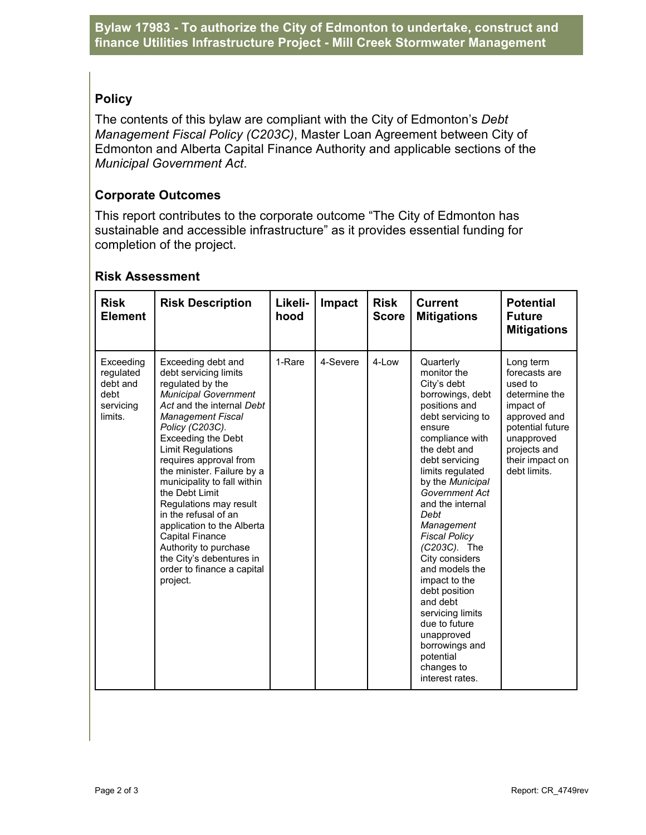# **Policy**

The contents of this bylaw are compliant with the City of Edmonton's *Debt Management Fiscal Policy (C203C)*, Master Loan Agreement between City of Edmonton and Alberta Capital Finance Authority and applicable sections of the *Municipal Government Act*.

#### **Corporate Outcomes**

This report contributes to the corporate outcome "The City of Edmonton has sustainable and accessible infrastructure" as it provides essential funding for completion of the project.

| <b>Risk</b><br><b>Element</b>                                      | <b>Risk Description</b>                                                                                                                                                                                                                                                                                                                                                                                                                                                                                                                               | Likeli-<br>hood | Impact   | <b>Risk</b><br><b>Score</b> | <b>Current</b><br><b>Mitigations</b>                                                                                                                                                                                                                                                                                                                                                                                                                                                                              | <b>Potential</b><br><b>Future</b><br><b>Mitigations</b>                                                                                                                  |
|--------------------------------------------------------------------|-------------------------------------------------------------------------------------------------------------------------------------------------------------------------------------------------------------------------------------------------------------------------------------------------------------------------------------------------------------------------------------------------------------------------------------------------------------------------------------------------------------------------------------------------------|-----------------|----------|-----------------------------|-------------------------------------------------------------------------------------------------------------------------------------------------------------------------------------------------------------------------------------------------------------------------------------------------------------------------------------------------------------------------------------------------------------------------------------------------------------------------------------------------------------------|--------------------------------------------------------------------------------------------------------------------------------------------------------------------------|
| Exceeding<br>requlated<br>debt and<br>debt<br>servicing<br>limits. | Exceeding debt and<br>debt servicing limits<br>regulated by the<br><b>Municipal Government</b><br>Act and the internal Debt<br><b>Management Fiscal</b><br>Policy (C203C).<br><b>Exceeding the Debt</b><br><b>Limit Regulations</b><br>requires approval from<br>the minister. Failure by a<br>municipality to fall within<br>the Debt Limit<br>Regulations may result<br>in the refusal of an<br>application to the Alberta<br><b>Capital Finance</b><br>Authority to purchase<br>the City's debentures in<br>order to finance a capital<br>project. | 1-Rare          | 4-Severe | 4-Low                       | Quarterly<br>monitor the<br>City's debt<br>borrowings, debt<br>positions and<br>debt servicing to<br>ensure<br>compliance with<br>the debt and<br>debt servicing<br>limits regulated<br>by the Municipal<br>Government Act<br>and the internal<br>Debt<br>Management<br><b>Fiscal Policy</b><br>(C203C). The<br>City considers<br>and models the<br>impact to the<br>debt position<br>and debt<br>servicing limits<br>due to future<br>unapproved<br>borrowings and<br>potential<br>changes to<br>interest rates. | Long term<br>forecasts are<br>used to<br>determine the<br>impact of<br>approved and<br>potential future<br>unapproved<br>projects and<br>their impact on<br>debt limits. |

#### **Risk Assessment**